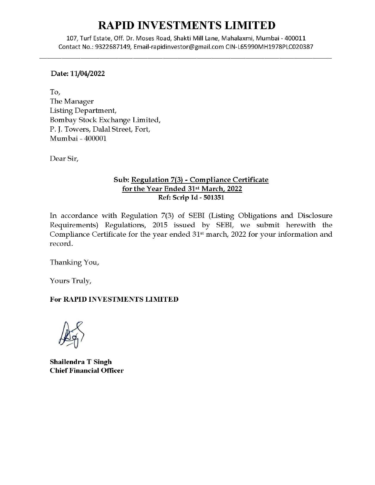## **RAPID INVESTMENTS LIMITED**

107, Turl Estate, 011. Dr. Moses Road, Shakti Mill Lane, Mahalaxmi, Mumbai - 400011 Contact No.: 9322687149, Email-rapidinvestor@gmail.com CIN-L65990MH1978PLC020387

## Date: 11/04/2022

To, The Manager Listing Department, Bombay Stock Exchange Limited, P. J. Towers, Dalal Street, Fort, Mumbai - 400001

Dear Sir,

## Sub: Regulation 7(3) - Compliance Certificate for the Year Ended 31st March, 2022 Ref: Scrip **Id** - 501351

In accordance with Regulation 7(3) of SEBI (Listing Obligations and Disclosure Requirements) Regulations, 2015 issued by SEBI, we submit herewith the Compliance Certificate for the year ended 31<sup>st</sup> march, 2022 for your information and record.

Thanking You,

Yours Truly,

**For RAPID** INVESTMENTS **LIMITED** 

**Shailendra T Singh Chief Financial Officer**